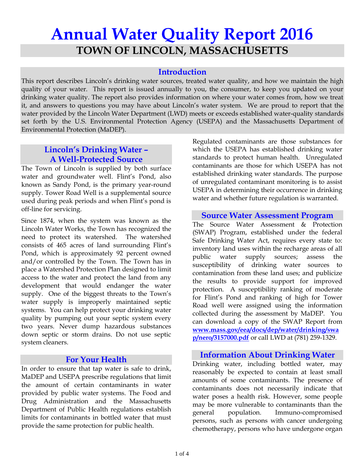# **Annual Water Quality Report 2016 TOWN OF LINCOLN, MASSACHUSETTS**

### **Introduction**

This report describes Lincoln's drinking water sources, treated water quality, and how we maintain the high quality of your water. This report is issued annually to you, the consumer, to keep you updated on your drinking water quality. The report also provides information on where your water comes from, how we treat it, and answers to questions you may have about Lincoln's water system. We are proud to report that the water provided by the Lincoln Water Department (LWD) meets or exceeds established water-quality standards set forth by the U.S. Environmental Protection Agency (USEPA) and the Massachusetts Department of Environmental Protection (MaDEP).

# **Lincoln's Drinking Water – A Well-Protected Source**

The Town of Lincoln is supplied by both surface water and groundwater well. Flint's Pond, also known as Sandy Pond, is the primary year-round supply. Tower Road Well is a supplemental source used during peak periods and when Flint's pond is off-line for servicing.

Since 1874, when the system was known as the Lincoln Water Works, the Town has recognized the need to protect its watershed. The watershed consists of 465 acres of land surrounding Flint's Pond, which is approximately 92 percent owned and/or controlled by the Town. The Town has in place a Watershed Protection Plan designed to limit access to the water and protect the land from any development that would endanger the water supply. One of the biggest threats to the Town's water supply is improperly maintained septic systems. You can help protect your drinking water quality by pumping out your septic system every two years. Never dump hazardous substances down septic or storm drains. Do not use septic system cleaners.

#### **For Your Health**

In order to ensure that tap water is safe to drink, MaDEP and USEPA prescribe regulations that limit the amount of certain contaminants in water provided by public water systems. The Food and Drug Administration and the Massachusetts Department of Public Health regulations establish limits for contaminants in bottled water that must provide the same protection for public health.

Regulated contaminants are those substances for which the USEPA has established drinking water standards to protect human health. Unregulated contaminants are those for which USEPA has not established drinking water standards. The purpose of unregulated contaminant monitoring is to assist USEPA in determining their occurrence in drinking water and whether future regulation is warranted.

#### **Source Water Assessment Program**

The Source Water Assessment & Protection (SWAP) Program, established under the federal Safe Drinking Water Act, requires every state to: inventory land uses within the recharge areas of all public water supply sources; assess the susceptibility of drinking water sources to contamination from these land uses; and publicize the results to provide support for improved protection. A susceptibility ranking of moderate for Flint's Pond and ranking of high for Tower Road well were assigned using the information collected during the assessment by MaDEP. You can download a copy of the SWAP Report from **www.mass.gov/eea/docs/dep/water/drinking/swa p/nero/3157000.pdf** or call LWD at (781) 259-1329.

#### **Information About Drinking Water**

Drinking water, including bottled water, may reasonably be expected to contain at least small amounts of some contaminants. The presence of contaminants does not necessarily indicate that water poses a health risk. However, some people may be more vulnerable to contaminants than the general population. Immuno-compromised persons, such as persons with cancer undergoing chemotherapy, persons who have undergone organ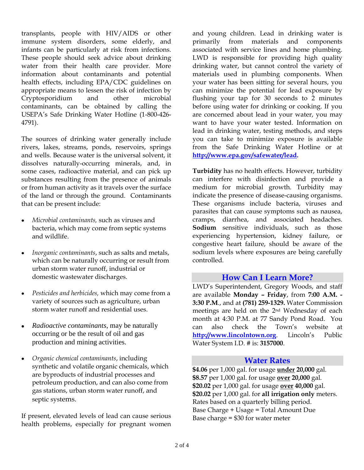transplants, people with HIV/AIDS or other immune system disorders, some elderly, and infants can be particularly at risk from infections. These people should seek advice about drinking water from their health care provider. More information about contaminants and potential health effects, including EPA/CDC guidelines on appropriate means to lessen the risk of infection by Cryptosporidium and other microbial contaminants, can be obtained by calling the USEPA's Safe Drinking Water Hotline (1-800-426- 4791).

The sources of drinking water generally include rivers, lakes, streams, ponds, reservoirs, springs and wells. Because water is the universal solvent, it dissolves naturally-occurring minerals, and, in some cases, radioactive material, and can pick up substances resulting from the presence of animals or from human activity as it travels over the surface of the land or through the ground. Contaminants that can be present include:

- *Microbial contaminants,* such as viruses and bacteria, which may come from septic systems and wildlife.
- *Inorganic contaminants*, such as salts and metals, which can be naturally occurring or result from urban storm water runoff, industrial or domestic wastewater discharges.
- *Pesticides and herbicides,* which may come from a variety of sources such as agriculture, urban storm water runoff and residential uses.
- *Radioactive contaminants*, may be naturally occurring or be the result of oil and gas production and mining activities.
- *Organic chemical contaminants*, including synthetic and volatile organic chemicals, which are byproducts of industrial processes and petroleum production, and can also come from gas stations, urban storm water runoff, and septic systems.

If present, elevated levels of lead can cause serious health problems, especially for pregnant women and young children. Lead in drinking water is primarily from materials and components associated with service lines and home plumbing. LWD is responsible for providing high quality drinking water, but cannot control the variety of materials used in plumbing components. When your water has been sitting for several hours, you can minimize the potential for lead exposure by flushing your tap for 30 seconds to 2 minutes before using water for drinking or cooking. If you are concerned about lead in your water, you may want to have your water tested. Information on lead in drinking water, testing methods, and steps you can take to minimize exposure is available from the Safe Drinking Water Hotline or at **[http://www.epa.gov/safewater/lead.](http://www.epa.gov/safewater/lead)**

**Turbidity** has no health effects. However, turbidity can interfere with disinfection and provide a medium for microbial growth. Turbidity may indicate the presence of disease-causing organisms. These organisms include bacteria, viruses and parasites that can cause symptoms such as nausea, cramps, diarrhea, and associated headaches. **Sodium** sensitive individuals, such as those experiencing hypertension, kidney failure, or congestive heart failure, should be aware of the sodium levels where exposures are being carefully controlled.

#### **How Can I Learn More?**

LWD's Superintendent, Gregory Woods, and staff are available **Monday – Friday**, from **7:00 A.M. - 3:30 P.M**., and at **(781) 259-1329.** Water Commission meetings are held on the 2nd Wednesday of each month at 4:30 P.M. at 77 Sandy Pond Road. You can also check the Town's website at **http://www.lincolntown.org**. Lincoln's Public Water System I.D. # is: **3157000**.

#### **Water Rates**

**\$4.06** per 1,000 gal. for usage **under 20,000** gal. **\$8.57** per 1,000 gal. for usage **over 20,000** gal. **\$20.02** per 1,000 gal. for usage **over 40,000** gal. **\$20.02** per 1,000 gal. for **all irrigation only** meters. Rates based on a quarterly billing period. Base Charge + Usage = Total Amount Due Base charge = \$30 for water meter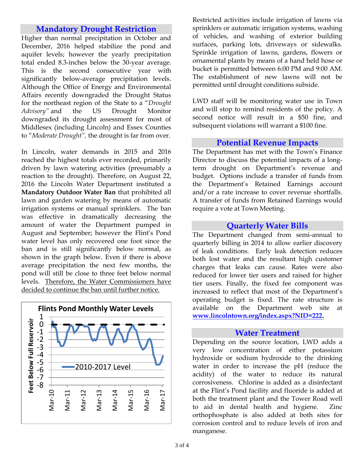## **Mandatory Drought Restriction**

Higher than normal precipitation in October and December, 2016 helped stabilize the pond and aquifer levels; however the yearly precipitation total ended 8.3-inches below the 30-year average. This is the second consecutive year with significantly below-average precipitation levels. Although the Office of Energy and Environmental Affairs recently downgraded the Drought Status for the northeast region of the State to a "*Drought Advisory"* and the US Drought Monitor downgraded its drought assessment for most of Middlesex (including Lincoln) and Essex Counties to "*Moderate Drought",* the drought is far from over.

In Lincoln, water demands in 2015 and 2016 reached the highest totals ever recorded, primarily driven by lawn watering activities (presumably a reaction to the drought). Therefore, on August 22, 2016 the Lincoln Water Department instituted a **Mandatory Outdoor Water Ban** that prohibited all lawn and garden watering by means of automatic irrigation systems or manual sprinklers. The ban was effective in dramatically decreasing the amount of water the Department pumped in August and September; however the Flint's Pond water level has only recovered one foot since the ban and is still significantly below normal, as shown in the graph below. Even if there is above average precipitation the next few months, the pond will still be close to three feet below normal levels. Therefore, the Water Commissioners have decided to continue the ban until further notice.



Restricted activities include irrigation of lawns via sprinklers or automatic irrigation systems, washing of vehicles, and washing of exterior building surfaces, parking lots, driveways or sidewalks. Sprinkle irrigation of lawns, gardens, flowers or ornamental plants by means of a hand held hose or bucket is permitted between 6:00 PM and 9:00 AM. The establishment of new lawns will not be permitted until drought conditions subside.

LWD staff will be monitoring water use in Town and will stop to remind residents of the policy. A second notice will result in a \$50 fine, and subsequent violations will warrant a \$100 fine.

#### **Potential Revenue Impacts**

The Department has met with the Town's Finance Director to discuss the potential impacts of a longterm drought on Department's revenue and budget. Options include a transfer of funds from the Department's Retained Earnings account and/or a rate increase to cover revenue shortfalls. A transfer of funds from Retained Earnings would require a vote at Town Meeting.

#### **Quarterly Water Bills**

The Department changed from semi-annual to quarterly billing in 2014 to allow earlier discovery of leak conditions. Early leak detection reduces both lost water and the resultant high customer charges that leaks can cause. Rates were also reduced for lower tier users and raised for higher tier users. Finally, the fixed fee component was increased to reflect that most of the Department's operating budget is fixed. The rate structure is available on the Department web site at **www.lincolntown.org/index.aspx?NID=222.**

#### **Water Treatment**

Depending on the source location, LWD adds a very low concentration of either potassium hydroxide or sodium hydroxide to the drinking water in order to increase the pH (reduce the acidity) of the water to reduce its natural corrosiveness. Chlorine is added as a disinfectant at the Flint's Pond facility and fluoride is added at both the treatment plant and the Tower Road well to aid in dental health and hygiene. Zinc orthophosphate is also added at both sites for corrosion control and to reduce levels of iron and manganese.